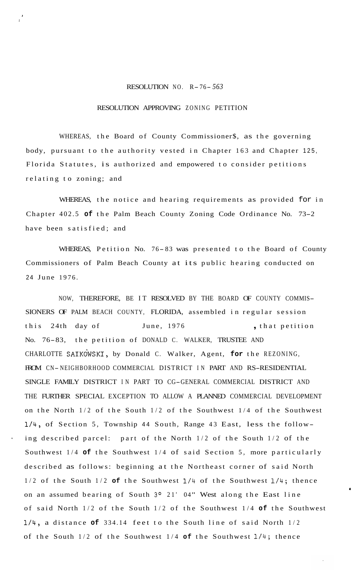## RESOLUTION NO. R- 76- *<sup>563</sup>*

**I** 

## RESOLUTION APPROVING ZONING PETITION

WHEREAS, the Board of County Commissioner\$, as the governing body, pursuant to the authority vested in Chapter 163 and Chapter 125, Florida Statutes, is authorized and empowered to consider petitions relating to zoning; and

WHEREAS, the notice and hearing requirements as provided for in Chapter 402.5 **of** the Palm Beach County Zoning Code Ordinance No. 73-2 have been satisfied; and

WHEREAS, Petition No. 76- 83 was presented to the Board of County Commissioners of Palm Beach County at its public hearing conducted on 24 June 1976.

NOW, THEREFORE, BE IT RESOLVED BY THE BOARD OF COUNTY COMMIS-SIONERS OF PALM BEACH COUNTY, FLORIDA, assembled in regular session this 24th day of June, 1976 , that petition No. 76-83, the petition of DONALD C. WALKER, TRUSTEE AND CHARLOTTE SAIKdWSKI, by Donald C. Walker, Agent, **for** the REZONING, FROM CN-NEIGHBORHOOD COMMERCIAL DISTRICT IN PART AND RS-RESIDENTIAL SINGLE FAMILY DISTRICT IN PART TO CG-GENERAL COMMERCIAL DISTRICT AND THE FURTHER SPECIAL EXCEPTION TO ALLOW A PLANNED COMMERCIAL DEVELOPMENT on the North 1/2 of the South 1/2 of the Southwest 1/4 of the Southwest 1/4, of Section 5, Township 44 South, Range 43 East, less the follow ing described parcel: part of the North  $1/2$  of the South  $1/2$  of the Southwest 1/4 **of** the Southwest 1/4 of said Section 5, more particularly described as follows: beginning at the Northeast corner of said North 1/2 of the South 1/2 **of** the Southwest 1/4 of the Southwest 1/4; thence on an assumed bearing of South **3O** 21' 04" West along the East line of said North 1/2 of the South 1/2 of the Southwest 1/4 **of** the Southwest 1/4, a distance **of** 334.14 feet to the South line of said North 1/2 of the South 1/2 of the Southwest 1/4 **of** the Southwest 1/4; thence

**0**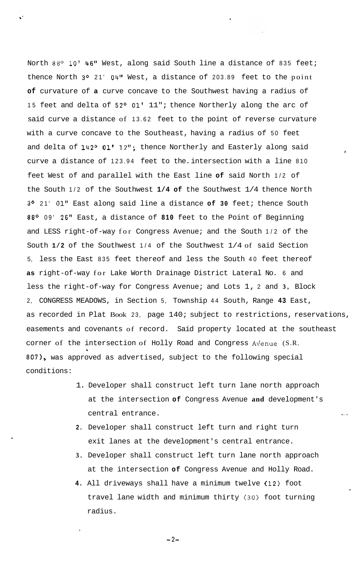North 88° 10' 46" West, along said South line a distance of 835 feet; thence North 3° 21' 04" West, a distance of 203.89 feet to the point **of** curvature of **a** curve concave to the Southwest having a radius of 15 feet and delta of 52° 01' 11"; thence Northerly along the arc of said curve a distance of 13.62 feet to the point of reverse curvature with a curve concave to the Southeast, having a radius of 50 feet and delta of 142° 01' 12"; thence Northerly and Easterly along said curve a distance of 123.94 feet to the. intersection with a line 810 feet West of and parallel with the East line **of** said North 1/2 of the South 1/2 of the Southwest **1/4 of** the Southwest 1/4 thence North **3O** 21' **01''** East along said line a distance **of 30** feet; thence South 88O 09' 26'' East, a distance of **810** feet to the Point of Beginning and LESS right-of-way for Congress Avenue; and the South 1/2 of the South **1/2** of the Southwest 1/4 of the Southwest 1/4 of said Section 5, less the East 835 feet thereof and less the South 40 feet thereof **as** right-of-way for Lake Worth Drainage District Lateral No. 6 and less the right-of-way for Congress Avenue; and Lots 1, 2 and **3,** Block 2, CONGRESS MEADOWS, in Section 5, Township 44 South, Range **43** East, as recorded in Plat Book 23, page 140; subject to restrictions, reservations, easements and covenants of record. Said property located at the southeast corner of the intersection of Holly Road and Congress Av'enue (S.R. 807), was approved as advertised, subject to the following special **L**  conditions:

*f* 

.. .

- 1. Developer shall construct left turn lane north approach at the intersection **of** Congress Avenue **and** development's central entrance.
- **2.**  Developer shall construct left turn and right turn exit lanes at the development's central entrance.
- **3.**  Developer shall construct left turn lane north approach at the intersection **of** Congress Avenue and Holly Road.
- **4.**  All driveways shall have a minimum twelve (12) foot travel lane width and minimum thirty **(30)** foot turning radius.

**-2-**